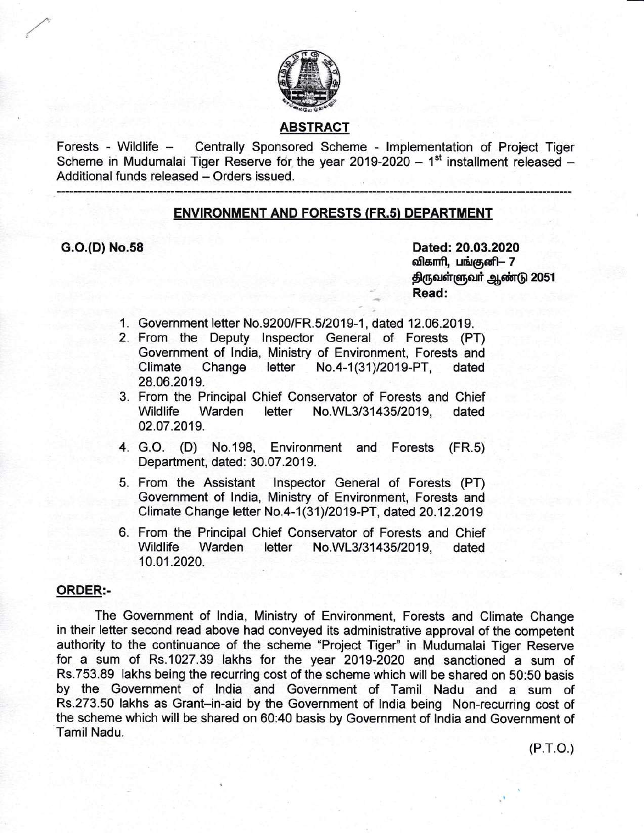

## ABSTRACT

Forests - Wildlife - Centrally Sponsored Scheme - lmplementation of Project Tiger Scheme in Mudumalai Tiger Reserve for the year 2019-2020 -  $1<sup>st</sup>$  installment released -Additional funds released - Orders issued.

### ENVIRONMENT AND FORESTS (FR.s) DEPARTMENT

 $\overline{\phantom{a}}$ 

G.O.(D) No.58 Dated: 20.03.2020 விகாரி, பங்குனி— 7 திருவள்ளுவர் ஆண்டு 2051 Read:

- 1. Government letter No.9200/FR.5/2019-1, dated 12.06.2019.
- 2. From the Deputy lnspector General of Forests (PT) Government of lndia, Ministry of Environment, Forests and Climate Change letter No.4-1(31)/2019-PT, dated 28.06.2019.
- 3. From the Principal Chief Conservator of Forests and Chief Warden letter No.WL3/31435/2019, dated 02.07.2019.
- 4. G.O. (D) No.198, Environment and Forests (FR.s) Department, dated: 30.07.2019.
- 5. From the Assistant lnspector General of Forests (PT) Government of lndia, Ministry of Environment, Forests and Climate Change letter No.4-1 (31)12019-PT, dated 20.12.2019
- 6. From the Principal Chief Conservator of Forests and Chief Wildlife Warden letter No.WL3/31435/2019, dated 10.01.2020.

#### ORDER:-

The Government of lndia, Ministry of Environment, Forests and Climate Change in their letter second read above had conveyed its administrative approval of the competent authority to the continuance of the scheme "Project Tiger" in Mudumalai Tiger Reserve for a sum of Rs.1027.39 lakhs for the year 2019-2020 and sanctioned a sum of Rs.753.89 lakhs being the recurring cost of the scheme which will be shared on 50:50 basis by the Government of lndia and Government of Tamil Nadu and a sum of Rs.273.50 lakhs as Grant-in-aid by the Government of lndia being Non-recurring cost of the scheme which will be shared on 60:40 basis by Government of lndia and Government of Tamil Nadu.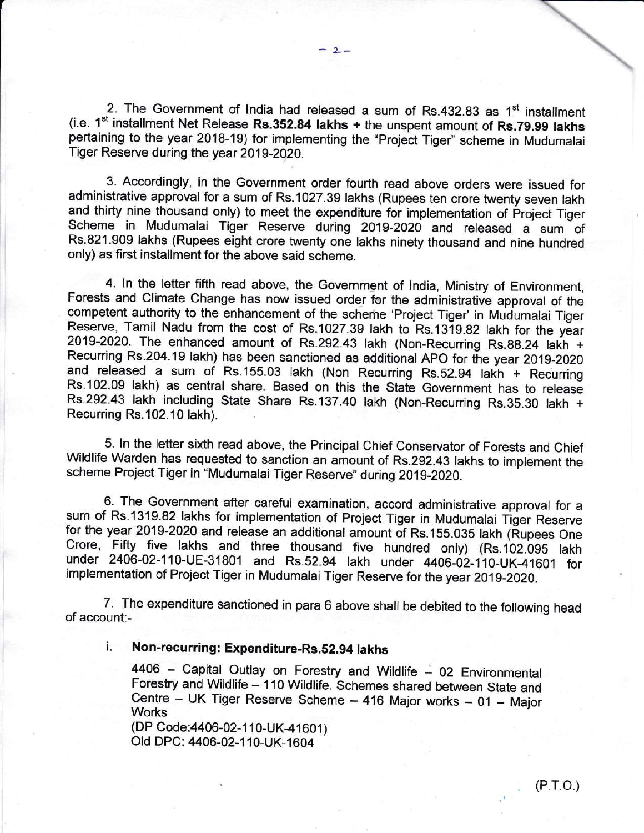2. The Government of India had released a sum of Rs.432.83 as 1<sup>st</sup> installment (i.e.  $1<sup>st</sup>$  installment Net Release Rs.352.84 lakhs  $+$  the unspent amount of Rs.79.99 lakhs pertaining to the year 2018-19) for implementing the "Project Tiger" scheme in Mudumalai Tiger Reserve during the year 2019-2020.

3. Accordingly, in the Government order fourth read above orders were issued for administrative approval for a sum of Rs.1027.39 lakhs (Rupees ten crore twenty seven lakh and thirty nine thousand only) to meet the expenditure for implementation of Project Tiger Scheme in Mudumalai Tiger Reserve during 2019-2020 and released a sum of Rs.821.909 lakhs (Rupees eight crore twenty one lakhs ninety thousand and nine hundred only) as first installment for the above said scheme.

4. In the letter fifth read above, the Government of lndia, Ministry of Environment, Forests and Climate Change has now issued order for the administrative approval of the competent authority to the enhancement of the scheme 'Project Tiger' in Mudumalai Tiger Reserve, Tamil Nadu from the cost of Rs.1027.39 lakh to Rs.1319.82 lakh for the year 2019-2020. The enhanced amount of Rs.292.43 lakh (Non-Recurring Rs.88.24 lakh + Recurring Rs.204.19 lakh) has been sanctioned as additional APO for the year 2019-2020 and released a sum of Rs.155.03 lakh (Non Recurring Rs.52.94 lakh + Recurring Rs.102.09 lakh) as central share. Based on this the State Government has to release Rs.292.43 lakh including State Share Rs.137.40 lakh (Non-Recurring Rs.35.30 lakh <sup>+</sup> Recurring Rs.102.10 lakh).

5. ln the letter sixth read above, the Principal Chief Conservator of Forests and Chief Wildlife Warden has requested to sanction an amount of Rs.292.43 lakhs to implement the scheme Project Tiger in "Mudumalai Tiger Reserve" during 2019-2020.

6. The Government after careful examination, accord administrative approval for <sup>a</sup> sum of Rs.1319.82 lakhs for implementation of Project Tiger in Mudumalai Tiger Reserve<br>for the year 2019-2020 and release an additional amount of Rs.155.035 lakh (Rupees One Crore, Fifty five lakhs and three thousand five hundred only) (Rs.102.095 lakh under 2406-02-110-UE-31801 and Rs.52.94 lakh under 4406-02-110-UK-41601 for implementation of Project Tiger in Mudumalai Tiger Reserve for the year 2019-2020.

\_ of account:- 7. The expenditure sanctioned in para 6 above shall be debited to the following head

## i. Non-recurring: Expenditure-Rs.52.94 lakhs

4406 - Capital Outlay on Forestry and Wildlife - 02 Environmental Forestry and Wildlife - 110 Wildlife. Schemes shared between State and Centre - UK Tiger Reserve Scheme - 416 Major works - 01 - Major **Works** (DP Code: 4406-02-110-UK-41601)

Old DPC: 4406-02-110-UK-1604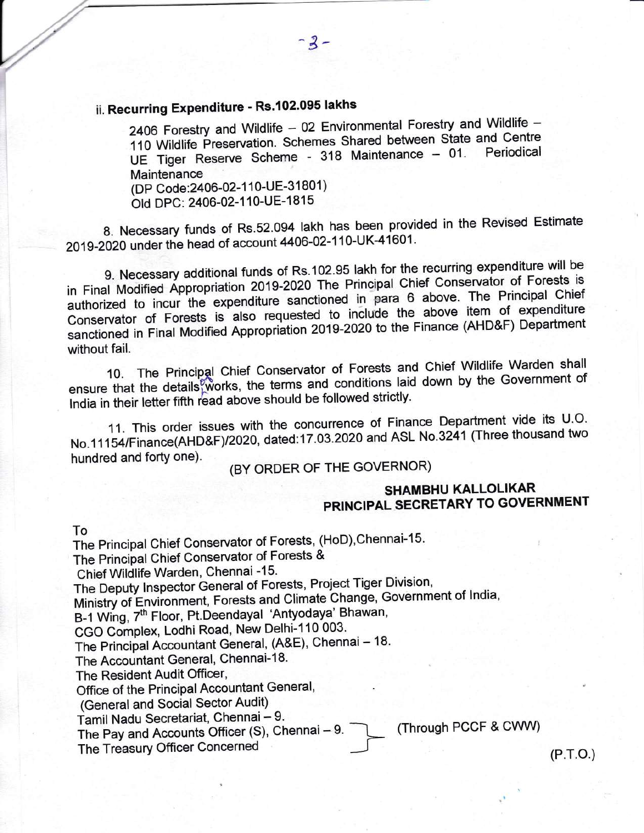# ii. Recurring Expenditure - Rs.102.095 lakhs

2406 Forestry and Wildlife - 02 Environmental Forestry and Wildlife -110 Wildlife Preservation. Schemes Shared between State and Centre UE Tiger Reserve Scheme - 318 Maintenance - 01. **Maintenance** 

(DP Code: 2406-02-110-UE-31801) Old DPC: 2406-02-110-UE-1815

8. Necessary funds of Rs.52.094 lakh has been provided in the Revised Estimate 2019-2020 under the head of account 4406-02-110-UK-41601.

g. Necessary additional funds of Rs.102.95 lakh for the recurring expenditure will be in Final Modified Appropriation 2019-2020 The Principal Chief Conservator of Forests is authorized to incur the expenditure sanctioned in para 6 above. The Principal chief Conservator of Forests is also requested to include the above item of expenditure sanctioned in Final Modified Appropriation 2019-2020 to the Finance (AHD&F) Department without fail.

10. The Principal Chief Conservator of Forests and Chief Wildlife Warden shall<br>conditions loid down by the Government of Frincipal Chief Conservator of the down by the Government of ensure that the details works, the terms and conditions laid down by the Government of India in their letter fifth read above should be followed strictly.

11. This order issues with the concurrence of Finance Department vide its U.O. No.11154/Finance(AHD&F)/2020, dated:17.03.2020 and ASL No.3241 (Three thousand two<br>hundred and forty one).

# (BY ORDER OF THE GOVERNOR)

## SHAMBHU KALLOLIKAR PRINCIPAL SECRETARY TO GOVERNMENT

To

r

L

The Principal Chief Conservator of Forests, (HoD), Chennai-15. The Principal Chief Conservator of Forests & Chief Wildlife Warden, Chennai -15' The Deputy Inspector General of Forests, Project Tiger Division, Ministry of Environment, Forests and Climate Change, Government of India, B-1 Wing, 7<sup>th</sup> Floor, Pt.Deendayal 'Antyodaya' Bhawan, CGO Complex, Lodhi Road, New Delhi-110 003. The Principal Accountant General, (A&E), Chennai - 18. The Accountant General, Chennai-18. The Resident Audit Officer, Office of the Principal Accountant General, (General and Social Sector Audit) Tamil Nadu Secretariat, Chennai - 9. Tarini Naud Occious Rights, Orionius Officer (S), Chennai - 9. [Infrough PCCF & CWW) The Treasury Officer Concerned **--f (P.T.O.)** (P.T.O.)